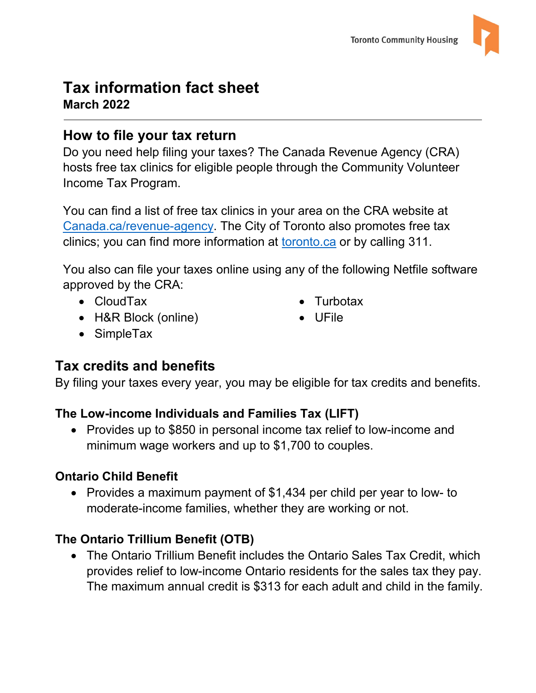## **Tax information fact sheet March 2022**

## **How to file your tax return**

Do you need help filing your taxes? The Canada Revenue Agency (CRA) hosts free tax clinics for eligible people through the Community Volunteer Income Tax Program.

You can find a list of free tax clinics in your area on the CRA website at [Canada.ca/revenue-agency.](https://www.canada.ca/en/revenue-agency/services/tax/individuals/community-volunteer-income-tax-program.html) The City of Toronto also promotes free tax clinics; you can find more information at [toronto.ca](https://www.toronto.ca/311/knowledgebase/kb/docs/articles/federal-government/income-tax-clinics-assistance-with-income-tax-returns.html) or by calling 311.

You also can file your taxes online using any of the following Netfile software approved by the CRA:

- CloudTax
- H&R Block (online)
- **Turbotax**
- UFile

• SimpleTax

# **Tax credits and benefits**

By filing your taxes every year, you may be eligible for tax credits and benefits.

#### **The Low-income Individuals and Families Tax (LIFT)**

• Provides up to \$850 in personal income tax relief to low-income and minimum wage workers and up to \$1,700 to couples.

#### **Ontario Child Benefit**

• Provides a maximum payment of \$1,434 per child per year to low- to moderate-income families, whether they are working or not.

#### **The Ontario Trillium Benefit (OTB)**

• The Ontario Trillium Benefit includes the Ontario Sales Tax Credit, which provides relief to low-income Ontario residents for the sales tax they pay. The maximum annual credit is \$313 for each adult and child in the family.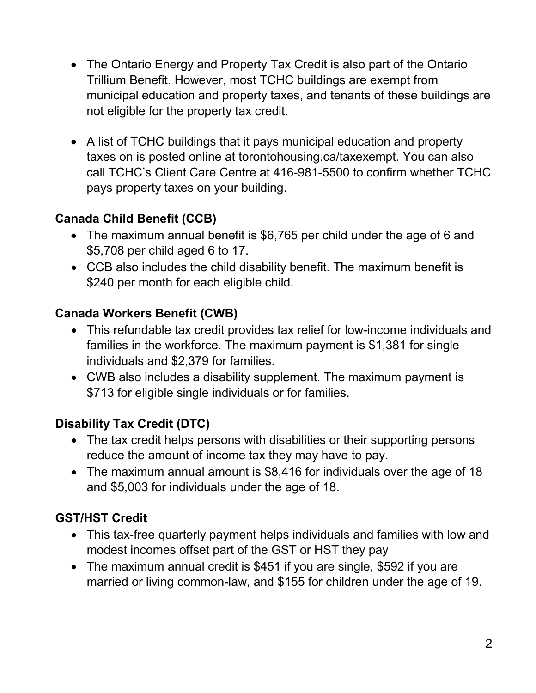- The Ontario Energy and Property Tax Credit is also part of the Ontario Trillium Benefit. However, most TCHC buildings are exempt from municipal education and property taxes, and tenants of these buildings are not eligible for the property tax credit.
- A list of TCHC buildings that it pays municipal education and property taxes on is posted online at torontohousing.ca/taxexempt. You can also call TCHC's Client Care Centre at 416-981-5500 to confirm whether TCHC pays property taxes on your building.

#### **Canada Child Benefit (CCB)**

- The maximum annual benefit is \$6,765 per child under the age of 6 and \$5,708 per child aged 6 to 17.
- CCB also includes the child disability benefit. The maximum benefit is \$240 per month for each eligible child.

#### **Canada Workers Benefit (CWB)**

- This refundable tax credit provides tax relief for low-income individuals and families in the workforce. The maximum payment is \$1,381 for single individuals and \$2,379 for families.
- CWB also includes a disability supplement. The maximum payment is \$713 for eligible single individuals or for families.

## **Disability Tax Credit (DTC)**

- The tax credit helps persons with disabilities or their supporting persons reduce the amount of income tax they may have to pay.
- The maximum annual amount is \$8,416 for individuals over the age of 18 and \$5,003 for individuals under the age of 18.

## **GST/HST Credit**

- This tax-free quarterly payment helps individuals and families with low and modest incomes offset part of the GST or HST they pay
- The maximum annual credit is \$451 if you are single, \$592 if you are married or living common-law, and \$155 for children under the age of 19.